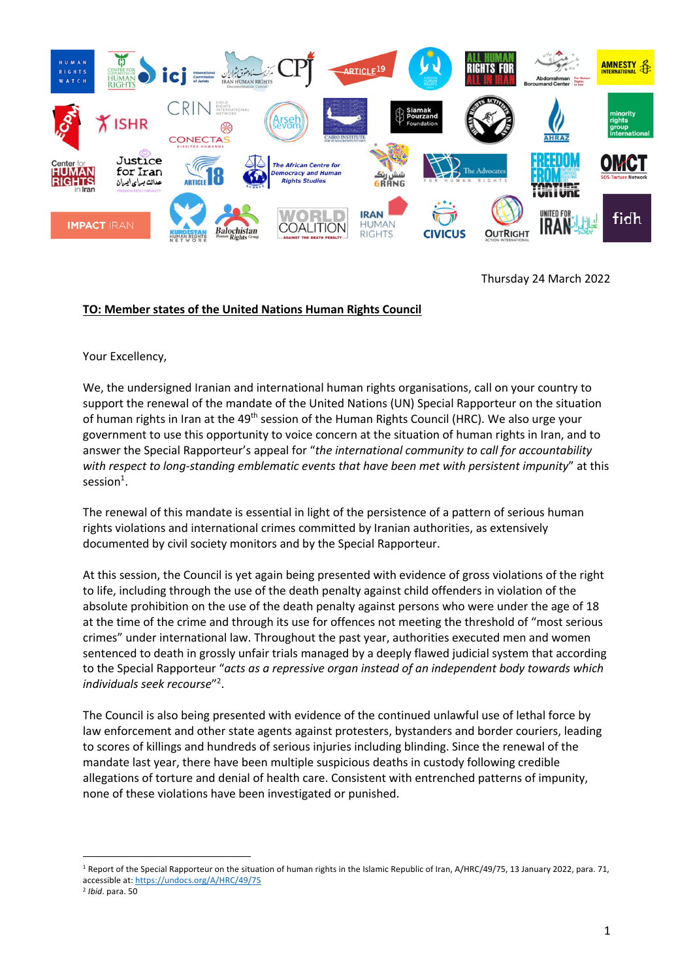

Thursday 24 March 2022

## **TO: Member states of the United Nations Human Rights Council**

Your Excellency,

We, the undersigned Iranian and international human rights organisations, call on your country to support the renewal of the mandate of the United Nations (UN) Special Rapporteur on the situation of human rights in Iran at the 49<sup>th</sup> session of the Human Rights Council (HRC). We also urge your government to use this opportunity to voice concern at the situation of human rights in Iran, and to answer the Special Rapporteur's appeal for "*the international community to call for accountability with respect to long-standing emblematic events that have been met with persistent impunity*" at this  $s$ ession<sup>1</sup>.

The renewal of this mandate is essential in light of the persistence of a pattern of serious human rights violations and international crimes committed by Iranian authorities, as extensively documented by civil society monitors and by the Special Rapporteur.

At this session, the Council is yet again being presented with evidence of gross violations of the right to life, including through the use of the death penalty against child offenders in violation of the absolute prohibition on the use of the death penalty against persons who were under the age of 18 at the time of the crime and through its use for offences not meeting the threshold of "most serious crimes" under international law. Throughout the past year, authorities executed men and women sentenced to death in grossly unfair trials managed by a deeply flawed judicial system that according to the Special Rapporteur "*acts as a repressive organ instead of an independent body towards which individuals seek recourse*"2 .

The Council is also being presented with evidence of the continued unlawful use of lethal force by law enforcement and other state agents against protesters, bystanders and border couriers, leading to scores of killings and hundreds of serious injuries including blinding. Since the renewal of the mandate last year, there have been multiple suspicious deaths in custody following credible allegations of torture and denial of health care. Consistent with entrenched patterns of impunity, none of these violations have been investigated or punished.

<sup>&</sup>lt;sup>1</sup> Report of the Special Rapporteur on the situation of human rights in the Islamic Republic of Iran, A/HRC/49/75, 13 January 2022, para. 71, accessible at: https://undocs.org/A/HRC/49/75

<sup>2</sup> *Ibid*. para. 50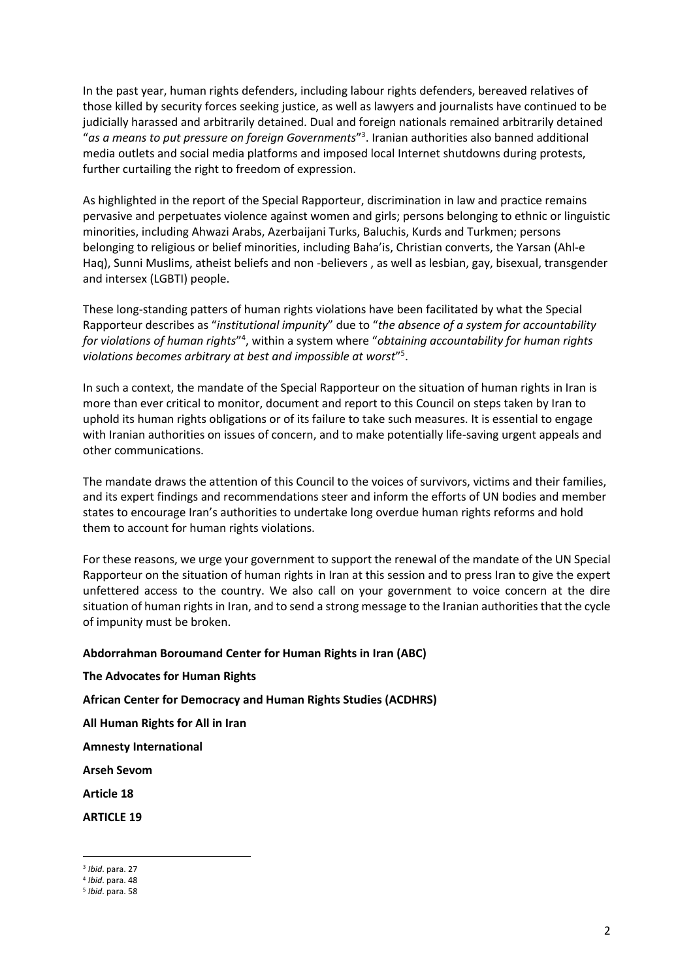In the past year, human rights defenders, including labour rights defenders, bereaved relatives of those killed by security forces seeking justice, as well as lawyers and journalists have continued to be judicially harassed and arbitrarily detained. Dual and foreign nationals remained arbitrarily detained "*as a means to put pressure on foreign Governments*"3 . Iranian authorities also banned additional media outlets and social media platforms and imposed local Internet shutdowns during protests, further curtailing the right to freedom of expression.

As highlighted in the report of the Special Rapporteur, discrimination in law and practice remains pervasive and perpetuates violence against women and girls; persons belonging to ethnic or linguistic minorities, including Ahwazi Arabs, Azerbaijani Turks, Baluchis, Kurds and Turkmen; persons belonging to religious or belief minorities, including Baha'is, Christian converts, the Yarsan (Ahl-e Haq), Sunni Muslims, atheist beliefs and non -believers , as well as lesbian, gay, bisexual, transgender and intersex (LGBTI) people.

These long-standing patters of human rights violations have been facilitated by what the Special Rapporteur describes as "*institutional impunity*" due to "*the absence of a system for accountability for violations of human rights*"4 , within a system where "*obtaining accountability for human rights violations becomes arbitrary at best and impossible at worst*"5 .

In such a context, the mandate of the Special Rapporteur on the situation of human rights in Iran is more than ever critical to monitor, document and report to this Council on steps taken by Iran to uphold its human rights obligations or of its failure to take such measures. It is essential to engage with Iranian authorities on issues of concern, and to make potentially life-saving urgent appeals and other communications.

The mandate draws the attention of this Council to the voices of survivors, victims and their families, and its expert findings and recommendations steer and inform the efforts of UN bodies and member states to encourage Iran's authorities to undertake long overdue human rights reforms and hold them to account for human rights violations.

For these reasons, we urge your government to support the renewal of the mandate of the UN Special Rapporteur on the situation of human rights in Iran at this session and to press Iran to give the expert unfettered access to the country. We also call on your government to voice concern at the dire situation of human rights in Iran, and to send a strong message to the Iranian authorities that the cycle of impunity must be broken.

## **Abdorrahman Boroumand Center for Human Rights in Iran (ABC)**

## **The Advocates for Human Rights**

**African Center for Democracy and Human Rights Studies (ACDHRS)**

**All Human Rights for All in Iran**

**Amnesty International**

**Arseh Sevom**

**Article 18**

**ARTICLE 19**

<sup>3</sup> *Ibid*. para. 27

<sup>4</sup> *Ibid*. para. 48

<sup>5</sup> *Ibid*. para. 58